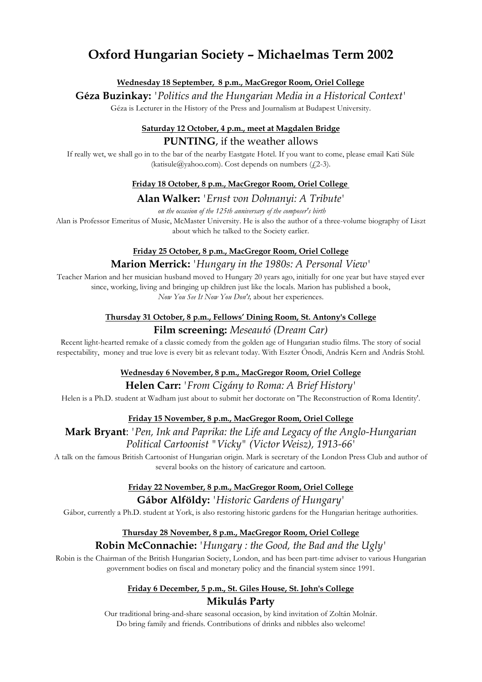# **Oxford Hungarian Society – Michaelmas Term 2002**

#### **Wednesday 18 September, 8 p.m., MacGregor Room, Oriel College**

**Géza Buzinkay:** *'Politics and the Hungarian Media in a Historical Context'* Géza is Lecturer in the History of the Press and Journalism at Budapest University.

# **Saturday 12 October, 4 p.m., meet at Magdalen Bridge PUNTING**, if the weather allows

If really wet, we shall go in to the bar of the nearby Eastgate Hotel. If you want to come, please email Kati Süle (katisule@yahoo.com). Cost depends on numbers  $(f_1^2-3)$ .

#### **Friday 18 October, 8 p.m., MacGregor Room, Oriel College**

#### **Alan Walker:** *'Ernst von Dohnanyi: A Tribute'*

*on the occasion of the 125th anniversary of the composer's birth*

Alan is Professor Emeritus of Music, McMaster University. He is also the author of a three-volume biography of Liszt about which he talked to the Society earlier.

#### **Friday 25 October, 8 p.m., MacGregor Room, Oriel College**

#### **Marion Merrick:** *'Hungary in the 1980s: A Personal View'*

Teacher Marion and her musician husband moved to Hungary 20 years ago, initially for one year but have stayed ever since, working, living and bringing up children just like the locals. Marion has published a book, *Now You See It Now You Don't,* about her experiences.

# **Thursday 31 October, 8 p.m., Fellows' Dining Room, St. Antony's College**

# **Film screening:** *Meseautó (Dream Car)*

Recent light-hearted remake of a classic comedy from the golden age of Hungarian studio films. The story of social respectability, money and true love is every bit as relevant today. With Eszter Ónodi, András Kern and András Stohl.

#### **Wednesday 6 November, 8 p.m., MacGregor Room, Oriel College**

#### **Helen Carr:** *'From Cigány to Roma: A Brief History'*

Helen is a Ph.D. student at Wadham just about to submit her doctorate on 'The Reconstruction of Roma Identity'.

#### **Friday 15 November, 8 p.m., MacGregor Room, Oriel College**

## **Mark Bryant**: *'Pen, Ink and Paprika: the Life and Legacy of the Anglo-Hungarian Political Cartoonist "Vicky" (Victor Weisz), 1913-66'*

A talk on the famous British Cartoonist of Hungarian origin. Mark is secretary of the London Press Club and author of several books on the history of caricature and cartoon.

#### **Friday 22 November, 8 p.m., MacGregor Room, Oriel College Gábor Alföldy:** *'Historic Gardens of Hungary'*

Gábor, currently a Ph.D. student at York, is also restoring historic gardens for the Hungarian heritage authorities.

#### **Thursday 28 November, 8 p.m., MacGregor Room, Oriel College**

### **Robin McConnachie:** *'Hungary : the Good, the Bad and the Ugly'*

Robin is the Chairman of the British Hungarian Society, London, and has been part-time adviser to various Hungarian government bodies on fiscal and monetary policy and the financial system since 1991.

## **Friday 6 December, 5 p.m., St. Giles House, St. John's College Mikulás Party**

Our traditional bring-and-share seasonal occasion, by kind invitation of Zoltán Molnár. Do bring family and friends. Contributions of drinks and nibbles also welcome!